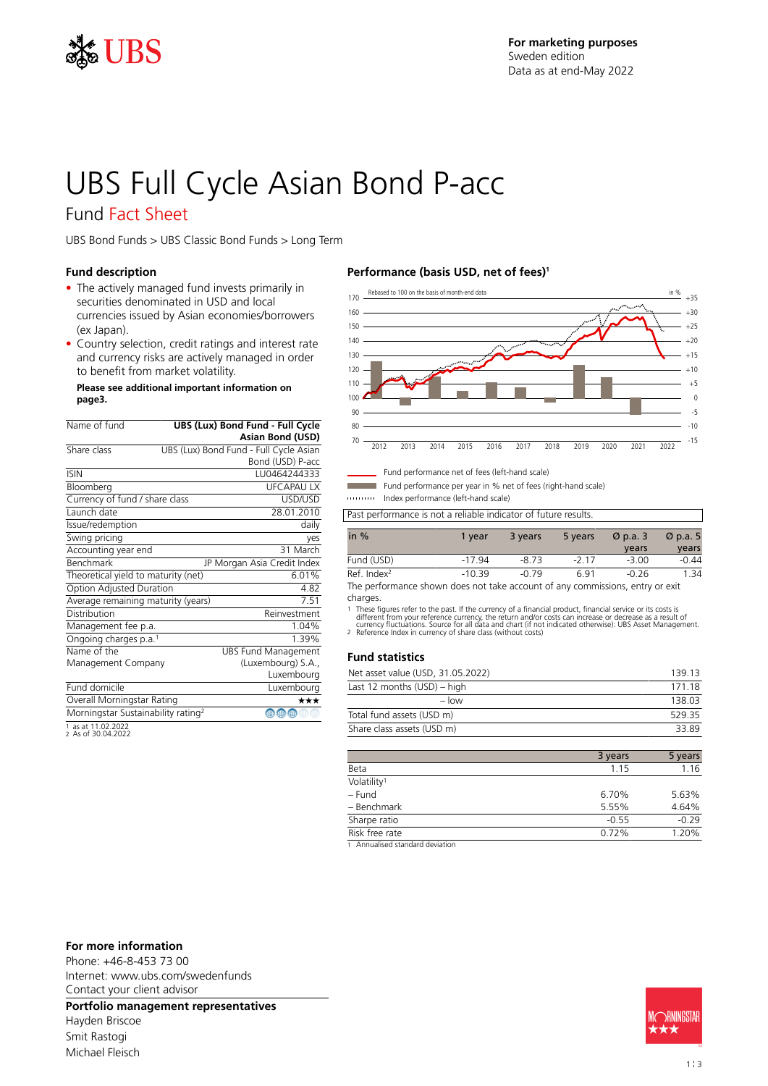

# UBS Full Cycle Asian Bond P-acc

### Fund Fact Sheet

UBS Bond Funds > UBS Classic Bond Funds > Long Term

#### **Fund description**

- The actively managed fund invests primarily in securities denominated in USD and local currencies issued by Asian economies/borrowers (ex Japan).
- Country selection, credit ratings and interest rate and currency risks are actively managed in order to benefit from market volatility.

#### **Please see additional important information on page3.**

| Name of fund                                   | UBS (Lux) Bond Fund - Full Cycle<br><b>Asian Bond (USD)</b> |
|------------------------------------------------|-------------------------------------------------------------|
| Share class                                    | UBS (Lux) Bond Fund - Full Cycle Asian                      |
|                                                | Bond (USD) P-acc                                            |
| <b>ISIN</b>                                    | LU0464244333                                                |
| Bloomberg                                      | <b>UFCAPAULX</b>                                            |
| Currency of fund / share class                 | USD/USD                                                     |
| Launch date                                    | 28.01.2010                                                  |
| Issue/redemption                               | daily                                                       |
| Swing pricing                                  | yes                                                         |
| Accounting year end                            | 31 March                                                    |
| <b>Benchmark</b>                               | JP Morgan Asia Credit Index                                 |
| Theoretical yield to maturity (net)            | 6.01%                                                       |
| Option Adjusted Duration                       | 4.82                                                        |
| Average remaining maturity (years)             | 7.51                                                        |
| Distribution                                   | Reinvestment                                                |
| Management fee p.a.                            | 1.04%                                                       |
| Ongoing charges p.a. <sup>1</sup>              | 1.39%                                                       |
| Name of the                                    | <b>UBS Fund Management</b>                                  |
| Management Company                             | (Luxembourg) S.A.,                                          |
|                                                | Luxembourg                                                  |
| Fund domicile                                  | Luxembourg                                                  |
| Overall Morningstar Rating                     | ***                                                         |
| Morningstar Sustainability rating <sup>2</sup> | $\circledast$                                               |
| 1.11100000                                     |                                                             |

1 as at 11.02.2022 2 As of 30.04.2022

#### **Performance (basis USD, net of fees)<sup>1</sup>**



Fund performance net of fees (left-hand scale)

Fund performance per year in % net of fees (right-hand scale)

Index performance (left-hand scale)

Past performance is not a reliable indicator of future results.

| in $%$                                                                          | 1 vear   | 3 years | 5 years | $\varnothing$ p.a. 3 | $\varnothing$ p.a. 5 |
|---------------------------------------------------------------------------------|----------|---------|---------|----------------------|----------------------|
|                                                                                 |          |         |         | years                | years                |
| Fund (USD)                                                                      | $-17.94$ | $-8.73$ | $-217$  | $-3.00$              | $-0.44$              |
| Ref. Index <sup>2</sup>                                                         | $-10.39$ | $-0.79$ | 691     | $-0.26$              | 1.34                 |
| 그대로 아이들은 그 사람들은 아이들에게 사람들을 사용하는 것이 없었다. 이 사람들은 아이들은 아이들에게 사람들을 지키며 아이들을 지키고 있다. |          |         |         |                      |                      |

The performance shown does not take account of any commissions, entry or exit charges.

1 These figures refer to the past. If the currency of a financial product, financial service or its costs is<br>different from your reference currency, the return and/or costs can increase or decrease as a result of<br>currency

#### **Fund statistics**

| Net asset value (USD, 31.05.2022) | 139 13 |
|-----------------------------------|--------|
| Last 12 months (USD) – high       | 171 18 |
| $-$ low                           | 138.03 |
| Total fund assets (USD m)         | 52935  |
| Share class assets (USD m)        | 33.89  |

|                         | 3 years | 5 years |
|-------------------------|---------|---------|
| Beta                    | 1.15    | 1.16    |
| Volatility <sup>1</sup> |         |         |
| – Fund                  | 6.70%   | 5.63%   |
| – Benchmark             | 5.55%   | 4.64%   |
| Sharpe ratio            | $-0.55$ | $-0.29$ |
| Risk free rate          | 0.72%   | 1.20%   |

1 Annualised standard deviation

#### **For more information**

Phone: +46-8-453 73 00 Internet: www.ubs.com/swedenfunds Contact your client advisor

**Portfolio management representatives**

Hayden Briscoe Smit Rastogi Michael Fleisch

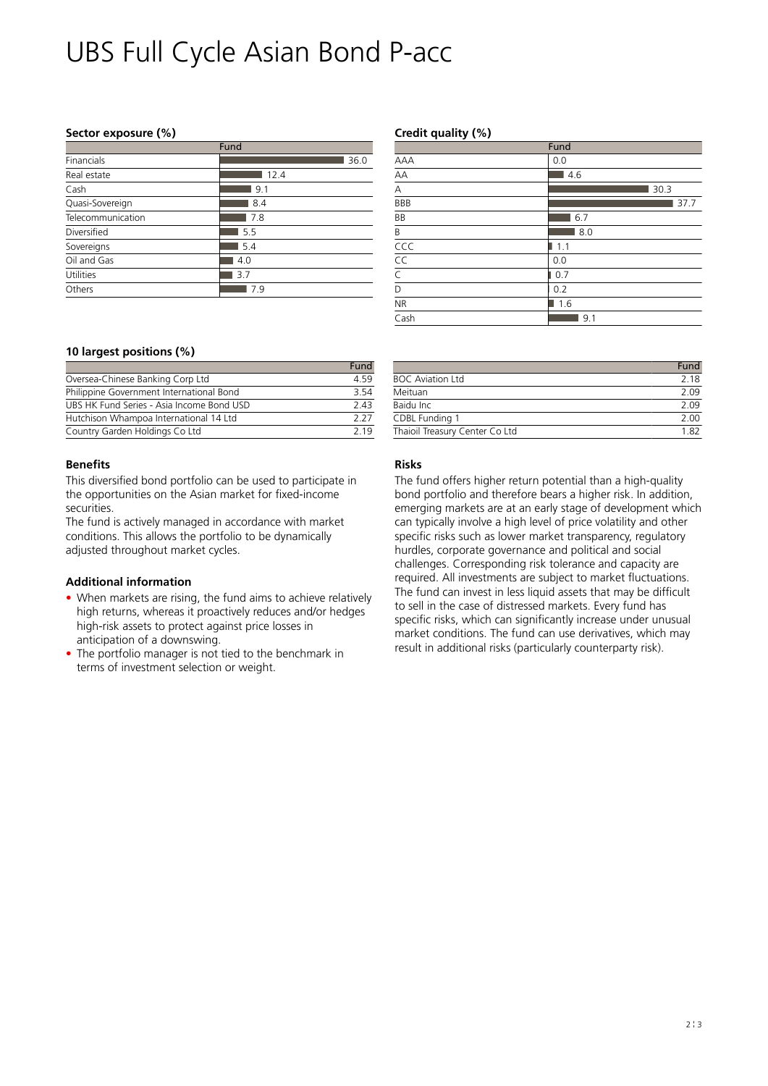## UBS Full Cycle Asian Bond P-acc

#### **Sector exposure (%)**

|                   | Fund |
|-------------------|------|
| Financials        | 36.0 |
| Real estate       | 12.4 |
| Cash              | 9.1  |
| Quasi-Sovereign   | 8.4  |
| Telecommunication | 7.8  |
| Diversified       | 5.5  |
| Sovereigns        | 5.4  |
| Oil and Gas       | 4.0  |
| Utilities         | 3.7  |
| Others            | 79   |

#### **Credit quality (%)**

|                 | Fund               |
|-----------------|--------------------|
| AAA             | 0.0                |
| AA              | $\blacksquare$ 4.6 |
| A               | 30.3               |
| <b>BBB</b>      | 37.7               |
| BB              | 6.7                |
| B               | 8.0                |
| CCC             | $\blacksquare$ 1.1 |
| $\overline{CC}$ | 0.0                |
| $\overline{C}$  | 0.7                |
| D               | 0.2                |
| <b>NR</b>       | $\blacksquare$ 1.6 |
| Cash            | 9.1                |

BOC Aviation Ltd 2.18<br>
Meituan 2.09 Meituan 2.09 Paidu Inc 2.09 CDBL Funding 1 2.00 Thaioil Treasury Center Co Ltd 1.82

#### **10 largest positions (%)**

|                                           | Fund  |
|-------------------------------------------|-------|
| Oversea-Chinese Banking Corp Ltd          | 4.59  |
| Philippine Government International Bond  | 3.54  |
| UBS HK Fund Series - Asia Income Bond USD | 243   |
| Hutchison Whampoa International 14 Ltd    | 7 7 7 |
| Country Garden Holdings Co Ltd            | 2.19  |

#### **Benefits**

This diversified bond portfolio can be used to participate in the opportunities on the Asian market for fixed-income securities.

The fund is actively managed in accordance with market conditions. This allows the portfolio to be dynamically adjusted throughout market cycles.

#### **Additional information**

- When markets are rising, the fund aims to achieve relatively high returns, whereas it proactively reduces and/or hedges high-risk assets to protect against price losses in anticipation of a downswing.
- The portfolio manager is not tied to the benchmark in terms of investment selection or weight.

#### **Risks**

The fund offers higher return potential than a high-quality bond portfolio and therefore bears a higher risk. In addition, emerging markets are at an early stage of development which can typically involve a high level of price volatility and other specific risks such as lower market transparency, regulatory hurdles, corporate governance and political and social challenges. Corresponding risk tolerance and capacity are required. All investments are subject to market fluctuations. The fund can invest in less liquid assets that may be difficult to sell in the case of distressed markets. Every fund has specific risks, which can significantly increase under unusual market conditions. The fund can use derivatives, which may result in additional risks (particularly counterparty risk).

**Fund**